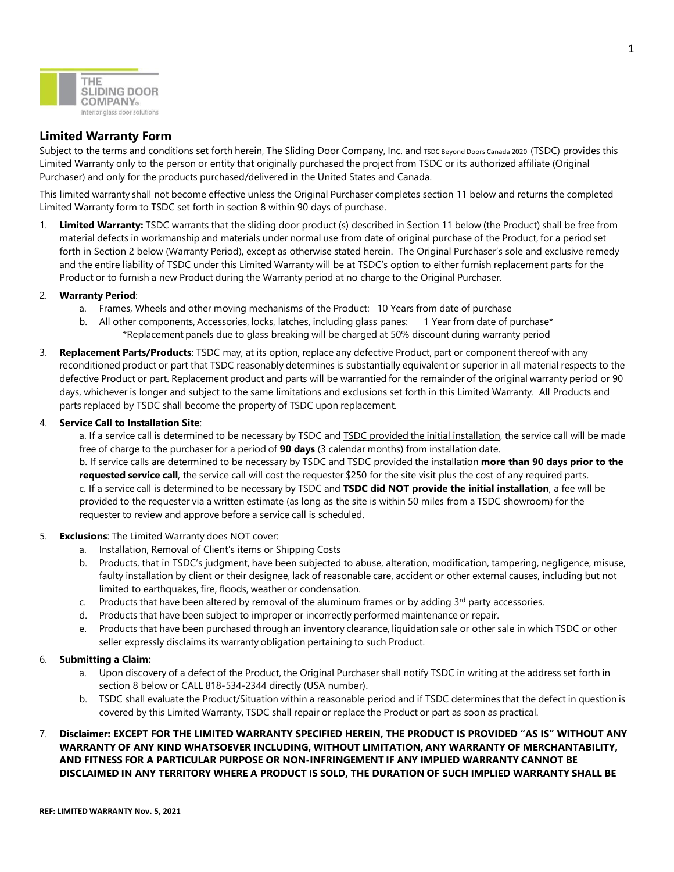

# **Limited Warranty Form**

Subject to the terms and conditions set forth herein, The Sliding Door Company, Inc. and TSDC Beyond Doors Canada 2020 (TSDC) provides this Limited Warranty only to the person or entity that originally purchased the project from TSDC or its authorized affiliate (Original Purchaser) and only for the products purchased/delivered in the United States and Canada.

This limited warranty shall not become effective unless the Original Purchaser completes section 11 below and returns the completed Limited Warranty form to TSDC set forth in section 8 within 90 days of purchase.

1. **Limited Warranty:** TSDC warrants that the sliding door product (s) described in Section 11 below (the Product) shall be free from material defects in workmanship and materials under normal use from date of original purchase of the Product, for a period set forth in Section 2 below (Warranty Period), except as otherwise stated herein. The Original Purchaser's sole and exclusive remedy and the entire liability of TSDC under this Limited Warranty will be at TSDC's option to either furnish replacement parts for the Product or to furnish a new Product during the Warranty period at no charge to the Original Purchaser.

### 2. **Warranty Period**:

- a. Frames, Wheels and other moving mechanisms of the Product: 10 Years from date of purchase
- b. All other components, Accessories, locks, latches, including glass panes: 1 Year from date of purchase\* \*Replacement panels due to glass breaking will be charged at 50% discount during warranty period
- 3. **Replacement Parts/Products**: TSDC may, at its option, replace any defective Product, part or component thereof with any reconditioned product or part that TSDC reasonably determines is substantially equivalent or superior in all material respects to the defective Product or part. Replacement product and parts will be warrantied for the remainder of the original warranty period or 90 days, whichever is longer and subject to the same limitations and exclusions set forth in this Limited Warranty. All Products and parts replaced by TSDC shall become the property of TSDC upon replacement.

### 4. **Service Call to Installation Site**:

a. If a service call is determined to be necessary by TSDC and **TSDC** provided the initial installation, the service call will be made free of charge to the purchaser for a period of **90 days** (3 calendar months) from installation date.

b. If service calls are determined to be necessary by TSDC and TSDC provided the installation **more than 90 days prior to the requested service call**, the service call will cost the requester \$250 for the site visit plus the cost of any required parts. c. If a service call is determined to be necessary by TSDC and **TSDC did NOT provide the initial installation**, a fee will be provided to the requester via a written estimate (as long as the site is within 50 miles from a TSDC showroom) for the requester to review and approve before a service call is scheduled.

### 5. **Exclusions**: The Limited Warranty does NOT cover:

- a. Installation, Removal of Client's items or Shipping Costs
- b. Products, that in TSDC's judgment, have been subjected to abuse, alteration, modification, tampering, negligence, misuse, faulty installation by client or their designee, lack of reasonable care, accident or other external causes, including but not limited to earthquakes, fire, floods, weather or condensation.
- c. Products that have been altered by removal of the aluminum frames or by adding  $3<sup>rd</sup>$  party accessories.
- d. Products that have been subject to improper or incorrectly performed maintenance or repair.
- e. Products that have been purchased through an inventory clearance, liquidation sale or other sale in which TSDC or other seller expressly disclaims its warranty obligation pertaining to such Product.

### 6. **Submitting a Claim:**

- a. Upon discovery of a defect of the Product, the Original Purchaser shall notify TSDC in writing at the address set forth in section 8 below or CALL 818-534-2344 directly (USA number).
- b. TSDC shall evaluate the Product/Situation within a reasonable period and if TSDC determines that the defect in question is covered by this Limited Warranty, TSDC shall repair or replace the Product or part as soon as practical.

## 7. **Disclaimer: EXCEPT FOR THE LIMITED WARRANTY SPECIFIED HEREIN, THE PRODUCT IS PROVIDED "AS IS" WITHOUT ANY WARRANTY OF ANY KIND WHATSOEVER INCLUDING, WITHOUT LIMITATION, ANY WARRANTY OF MERCHANTABILITY, AND FITNESS FOR A PARTICULAR PURPOSE OR NON-INFRINGEMENT IF ANY IMPLIED WARRANTY CANNOT BE DISCLAIMED IN ANY TERRITORY WHERE A PRODUCT IS SOLD, THE DURATION OF SUCH IMPLIED WARRANTY SHALL BE**